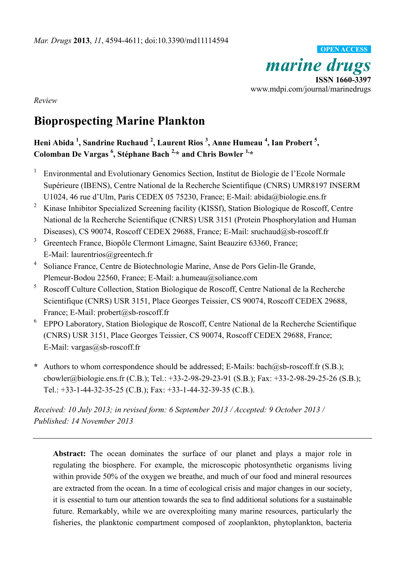*marine drugs* **ISSN 1660-3397** www.mdpi.com/journal/marinedrugs **OPEN ACCESS**

*Review*

# **Bioprospecting Marine Plankton**

**Heni Abida <sup>1</sup> , Sandrine Ruchaud <sup>2</sup> , Laurent Rios <sup>3</sup> , Anne Humeau <sup>4</sup> , Ian Probert <sup>5</sup> , Colomban De Vargas <sup>6</sup> , Stéphane Bach 2,\* and Chris Bowler 1,\***

- 1 Environmental and Evolutionary Genomics Section, Institut de Biologie de l'Ecole Normale Supérieure (IBENS), Centre National de la Recherche Scientifique (CNRS) UMR8197 INSERM U1024, 46 rue d'Ulm, Paris CEDEX 05 75230, France; E-Mail: abida@biologie.ens.fr
- <sup>2</sup> Kinase Inhibitor Specialized Screening facility (KISSf), Station Biologique de Roscoff, Centre National de la Recherche Scientifique (CNRS) USR 3151 (Protein Phosphorylation and Human Diseases), CS 90074, Roscoff CEDEX 29688, France; E-Mail: sruchaud@sb-roscoff.fr
- <sup>3</sup> Greentech France, Biopôle Clermont Limagne, Saint Beauzire 63360, France; E-Mail: laurentrios@greentech.fr
- 4 Soliance France, Centre de Biotechnologie Marine, Anse de Pors Gelin-Ile Grande, Plemeur-Bodou 22560, France; E-Mail: a.humeau@soliance.com
- <sup>5</sup> Roscoff Culture Collection, Station Biologique de Roscoff, Centre National de la Recherche Scientifique (CNRS) USR 3151, Place Georges Teissier, CS 90074, Roscoff CEDEX 29688, France; E-Mail: probert@sb-roscoff.fr
- 6 EPPO Laboratory, Station Biologique de Roscoff, Centre National de la Recherche Scientifique (CNRS) USR 3151, Place Georges Teissier, CS 90074, Roscoff CEDEX 29688, France; E-Mail: vargas@sb-roscoff.fr
- **\*** Authors to whom correspondence should be addressed; E-Mails: bach@sb-roscoff.fr (S.B.); cbowler@biologie.ens.fr (C.B.); Tel.: +33-2-98-29-23-91 (S.B.); Fax: +33-2-98-29-25-26 (S.B.); Tel.: +33-1-44-32-35-25 (C.B.); Fax: +33-1-44-32-39-35 (C.B.).

*Received: 10 July 2013; in revised form: 6 September 2013 / Accepted: 9 October 2013 / Published: 14 November 2013*

**Abstract:** The ocean dominates the surface of our planet and plays a major role in regulating the biosphere. For example, the microscopic photosynthetic organisms living within provide 50% of the oxygen we breathe, and much of our food and mineral resources are extracted from the ocean. In a time of ecological crisis and major changes in our society, it is essential to turn our attention towards the sea to find additional solutions for a sustainable future. Remarkably, while we are overexploiting many marine resources, particularly the fisheries, the planktonic compartment composed of zooplankton, phytoplankton, bacteria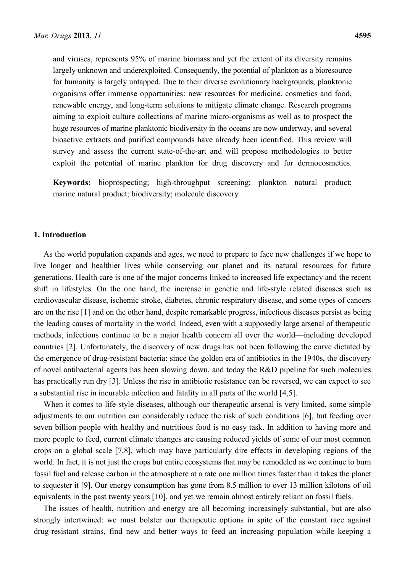and viruses, represents 95% of marine biomass and yet the extent of its diversity remains largely unknown and underexploited. Consequently, the potential of plankton as a bioresource for humanity is largely untapped. Due to their diverse evolutionary backgrounds, planktonic organisms offer immense opportunities: new resources for medicine, cosmetics and food, renewable energy, and long-term solutions to mitigate climate change. Research programs aiming to exploit culture collections of marine micro-organisms as well as to prospect the huge resources of marine planktonic biodiversity in the oceans are now underway, and several bioactive extracts and purified compounds have already been identified. This review will survey and assess the current state-of-the-art and will propose methodologies to better exploit the potential of marine plankton for drug discovery and for dermocosmetics.

**Keywords:** bioprospecting; high-throughput screening; plankton natural product; marine natural product; biodiversity; molecule discovery

# **1. Introduction**

As the world population expands and ages, we need to prepare to face new challenges if we hope to live longer and healthier lives while conserving our planet and its natural resources for future generations. Health care is one of the major concerns linked to increased life expectancy and the recent shift in lifestyles. On the one hand, the increase in genetic and life-style related diseases such as cardiovascular disease, ischemic stroke, diabetes, chronic respiratory disease, and some types of cancers are on the rise [1] and on the other hand, despite remarkable progress, infectious diseases persist as being the leading causes of mortality in the world. Indeed, even with a supposedly large arsenal of therapeutic methods, infections continue to be a major health concern all over the world—including developed countries [2]. Unfortunately, the discovery of new drugs has not been following the curve dictated by the emergence of drug-resistant bacteria: since the golden era of antibiotics in the 1940s, the discovery of novel antibacterial agents has been slowing down, and today the R&D pipeline for such molecules has practically run dry [3]. Unless the rise in antibiotic resistance can be reversed, we can expect to see a substantial rise in incurable infection and fatality in all parts of the world [4,5].

When it comes to life-style diseases, although our therapeutic arsenal is very limited, some simple adjustments to our nutrition can considerably reduce the risk of such conditions [6], but feeding over seven billion people with healthy and nutritious food is no easy task. In addition to having more and more people to feed, current climate changes are causing reduced yields of some of our most common crops on a global scale [7,8], which may have particularly dire effects in developing regions of the world. In fact, it is not just the crops but entire ecosystems that may be remodeled as we continue to burn fossil fuel and release carbon in the atmosphere at a rate one million times faster than it takes the planet to sequester it [9]. Our energy consumption has gone from 8.5 million to over 13 million kilotons of oil equivalents in the past twenty years [10], and yet we remain almost entirely reliant on fossil fuels.

The issues of health, nutrition and energy are all becoming increasingly substantial, but are also strongly intertwined: we must bolster our therapeutic options in spite of the constant race against drug-resistant strains, find new and better ways to feed an increasing population while keeping a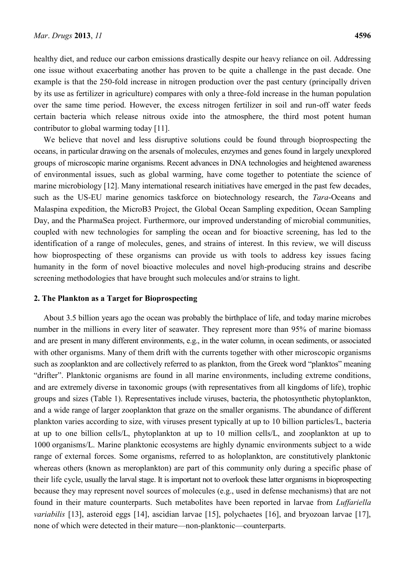healthy diet, and reduce our carbon emissions drastically despite our heavy reliance on oil. Addressing one issue without exacerbating another has proven to be quite a challenge in the past decade. One example is that the 250-fold increase in nitrogen production over the past century (principally driven by its use as fertilizer in agriculture) compares with only a three-fold increase in the human population over the same time period. However, the excess nitrogen fertilizer in soil and run-off water feeds certain bacteria which release nitrous oxide into the atmosphere, the third most potent human contributor to global warming today [11].

We believe that novel and less disruptive solutions could be found through bioprospecting the oceans, in particular drawing on the arsenals of molecules, enzymes and genes found in largely unexplored groups of microscopic marine organisms. Recent advances in DNA technologies and heightened awareness of environmental issues, such as global warming, have come together to potentiate the science of marine microbiology [12]. Many international research initiatives have emerged in the past few decades, such as the US-EU marine genomics taskforce on biotechnology research, the *Tara*-Oceans and Malaspina expedition, the MicroB3 Project, the Global Ocean Sampling expedition, Ocean Sampling Day, and the PharmaSea project. Furthermore, our improved understanding of microbial communities, coupled with new technologies for sampling the ocean and for bioactive screening, has led to the identification of a range of molecules, genes, and strains of interest. In this review, we will discuss how bioprospecting of these organisms can provide us with tools to address key issues facing humanity in the form of novel bioactive molecules and novel high-producing strains and describe screening methodologies that have brought such molecules and/or strains to light.

## **2. The Plankton as a Target for Bioprospecting**

About 3.5 billion years ago the ocean was probably the birthplace of life, and today marine microbes number in the millions in every liter of seawater. They represent more than 95% of marine biomass and are present in many different environments, e.g., in the water column, in ocean sediments, or associated with other organisms. Many of them drift with the currents together with other microscopic organisms such as zooplankton and are collectively referred to as plankton, from the Greek word "planktos" meaning "drifter". Planktonic organisms are found in all marine environments, including extreme conditions, and are extremely diverse in taxonomic groups (with representatives from all kingdoms of life), trophic groups and sizes (Table 1). Representatives include viruses, bacteria, the photosynthetic phytoplankton, and a wide range of larger zooplankton that graze on the smaller organisms. The abundance of different plankton varies according to size, with viruses present typically at up to 10 billion particles/L, bacteria at up to one billion cells/L, phytoplankton at up to 10 million cells/L, and zooplankton at up to 1000 organisms/L. Marine planktonic ecosystems are highly dynamic environments subject to a wide range of external forces. Some organisms, referred to as holoplankton, are constitutively planktonic whereas others (known as meroplankton) are part of this community only during a specific phase of their life cycle, usually the larval stage. It is important not to overlook these latter organisms in bioprospecting because they may represent novel sources of molecules (e.g., used in defense mechanisms) that are not found in their mature counterparts. Such metabolites have been reported in larvae from *Luffariella variabilis* [13], asteroid eggs [14], ascidian larvae [15], polychaetes [16], and bryozoan larvae [17], none of which were detected in their mature—non-planktonic—counterparts.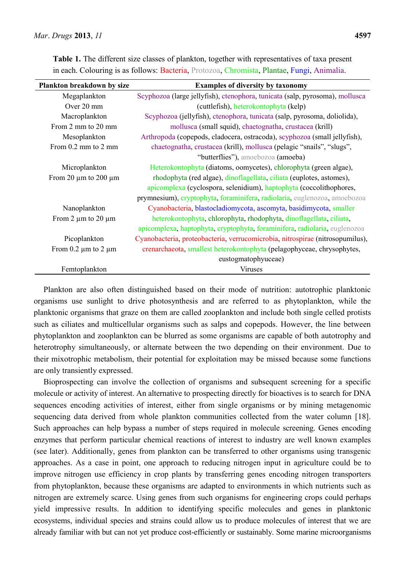| Plankton breakdown by size     | <b>Examples of diversity by taxonomy</b>                                      |
|--------------------------------|-------------------------------------------------------------------------------|
| Megaplankton                   | Scyphozoa (large jellyfish), ctenophora, tunicata (salp, pyrosoma), mollusca  |
| Over 20 mm                     | (cuttlefish), heterokontophyta (kelp)                                         |
| Macroplankton                  | Scyphozoa (jellyfish), ctenophora, tunicata (salp, pyrosoma, doliolida),      |
| From 2 mm to 20 mm             | mollusca (small squid), chaetognatha, crustacea (krill)                       |
| Mesoplankton                   | Arthropoda (copepods, cladocera, ostracoda), scyphozoa (small jellyfish),     |
| From $0.2$ mm to $2$ mm        | chaetognatha, crustacea (krill), mollusca (pelagic "snails", "slugs",         |
|                                | "butterflies"), amoebozoa (amoeba)                                            |
| Microplankton                  | Heterokontophyta (diatoms, oomycetes), chlorophyta (green algae),             |
| From 20 $\mu$ m to 200 $\mu$ m | rhodophyta (red algae), dinoflagellata, ciliata (euplotes, astomes),          |
|                                | apicomplexa (cyclospora, selenidium), haptophyta (coccolithophores,           |
|                                | prymnesium), cryptophyta, foraminifera, radiolaria, euglenozoa, amoebozoa     |
| Nanoplankton                   | Cyanobacteria, blastocladiomycota, ascomyta, basidimycota, smaller            |
| From 2 $\mu$ m to 20 $\mu$ m   | heterokontophyta, chlorophyta, rhodophyta, dinoflagellata, ciliata,           |
|                                | apicomplexa, haptophyta, cryptophyta, foraminifera, radiolaria, euglenozoa    |
| Picoplankton                   | Cyanobacteria, proteobacteria, verrucomicrobia, nitrospirae (nitrosopumilus), |
| From 0.2 $\mu$ m to 2 $\mu$ m  | crenarchaeota, smallest heterokontophyta (pelagophyceae, chrysophytes,        |
|                                | eustogmatophyuceae)                                                           |
| Femtoplankton                  | <b>Viruses</b>                                                                |

**Table 1.** The different size classes of plankton, together with representatives of taxa present in each. Colouring is as follows: Bacteria, Protozoa, Chromista, Plantae, Fungi, Animalia.

Plankton are also often distinguished based on their mode of nutrition: autotrophic planktonic organisms use sunlight to drive photosynthesis and are referred to as phytoplankton, while the planktonic organisms that graze on them are called zooplankton and include both single celled protists such as ciliates and multicellular organisms such as salps and copepods. However, the line between phytoplankton and zooplankton can be blurred as some organisms are capable of both autotrophy and heterotrophy simultaneously, or alternate between the two depending on their environment. Due to their mixotrophic metabolism, their potential for exploitation may be missed because some functions are only transiently expressed.

Bioprospecting can involve the collection of organisms and subsequent screening for a specific molecule or activity of interest. An alternative to prospecting directly for bioactives is to search for DNA sequences encoding activities of interest, either from single organisms or by mining metagenomic sequencing data derived from whole plankton communities collected from the water column [18]. Such approaches can help bypass a number of steps required in molecule screening. Genes encoding enzymes that perform particular chemical reactions of interest to industry are well known examples (see later). Additionally, genes from plankton can be transferred to other organisms using transgenic approaches. As a case in point, one approach to reducing nitrogen input in agriculture could be to improve nitrogen use efficiency in crop plants by transferring genes encoding nitrogen transporters from phytoplankton, because these organisms are adapted to environments in which nutrients such as nitrogen are extremely scarce. Using genes from such organisms for engineering crops could perhaps yield impressive results. In addition to identifying specific molecules and genes in planktonic ecosystems, individual species and strains could allow us to produce molecules of interest that we are already familiar with but can not yet produce cost-efficiently or sustainably. Some marine microorganisms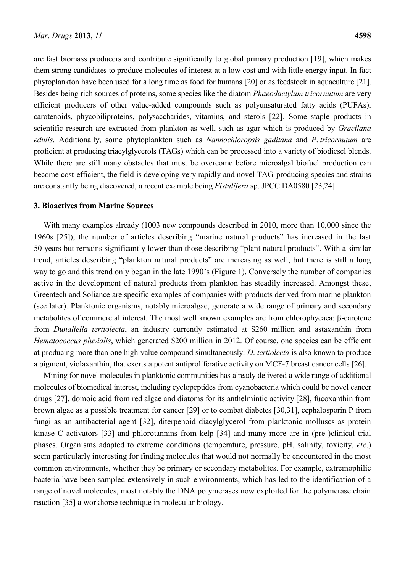are fast biomass producers and contribute significantly to global primary production [19], which makes them strong candidates to produce molecules of interest at a low cost and with little energy input. In fact phytoplankton have been used for a long time as food for humans [20] or as feedstock in aquaculture [21]. Besides being rich sources of proteins, some species like the diatom *Phaeodactylum tricornutum* are very efficient producers of other value-added compounds such as polyunsaturated fatty acids (PUFAs), carotenoids, phycobiliproteins, polysaccharides, vitamins, and sterols [22]. Some staple products in scientific research are extracted from plankton as well, such as agar which is produced by *Gracilana edulis*. Additionally, some phytoplankton such as *Nannochloropsis gaditana* and *P*. *tricornutum* are proficient at producing triacylglycerols (TAGs) which can be processed into a variety of biodiesel blends. While there are still many obstacles that must be overcome before microalgal biofuel production can become cost-efficient, the field is developing very rapidly and novel TAG-producing species and strains are constantly being discovered, a recent example being *Fistulifera* sp. JPCC DA0580 [23,24].

# **3. Bioactives from Marine Sources**

With many examples already (1003 new compounds described in 2010, more than 10,000 since the 1960s [25]), the number of articles describing "marine natural products" has increased in the last 50 years but remains significantly lower than those describing "plant natural products". With a similar trend, articles describing "plankton natural products" are increasing as well, but there is still a long way to go and this trend only began in the late 1990's (Figure 1). Conversely the number of companies active in the development of natural products from plankton has steadily increased. Amongst these, Greentech and Soliance are specific examples of companies with products derived from marine plankton (see later). Planktonic organisms, notably microalgae, generate a wide range of primary and secondary metabolites of commercial interest. The most well known examples are from chlorophycaea: β-carotene from *Dunaliella tertiolecta*, an industry currently estimated at \$260 million and astaxanthin from *Hematococcus pluvialis*, which generated \$200 million in 2012. Of course, one species can be efficient at producing more than one high-value compound simultaneously: *D*. *tertiolecta* is also known to produce a pigment, violaxanthin, that exerts a potent antiproliferative activity on MCF-7 breast cancer cells [26].

Mining for novel molecules in planktonic communities has already delivered a wide range of additional molecules of biomedical interest, including cyclopeptides from cyanobacteria which could be novel cancer drugs [27], domoic acid from red algae and diatoms for its anthelmintic activity [28], fucoxanthin from brown algae as a possible treatment for cancer [29] or to combat diabetes [30,31], cephalosporin P from fungi as an antibacterial agent [32], diterpenoid diacylglycerol from planktonic molluscs as protein kinase C activators [33] and phlorotannins from kelp [34] and many more are in (pre-)clinical trial phases. Organisms adapted to extreme conditions (temperature, pressure, pH, salinity, toxicity, *etc*.) seem particularly interesting for finding molecules that would not normally be encountered in the most common environments, whether they be primary or secondary metabolites. For example, extremophilic bacteria have been sampled extensively in such environments, which has led to the identification of a range of novel molecules, most notably the DNA polymerases now exploited for the polymerase chain reaction [35] a workhorse technique in molecular biology.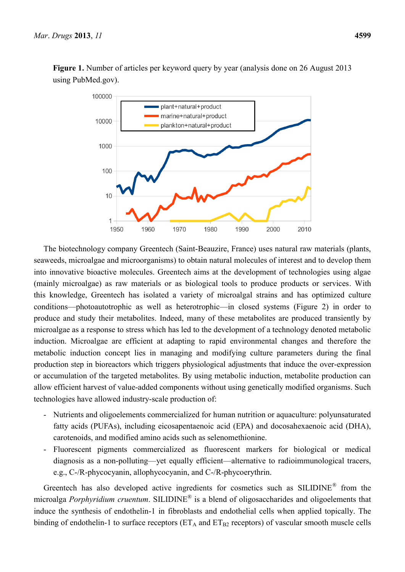100000 plant+natural+product marine+natural+product 10000 plankton+natural+product 1000 100  $10$ 1 1950 1960 1970 1980 1990 2000 2010

**Figure 1.** Number of articles per keyword query by year (analysis done on 26 August 2013 using PubMed.gov).

The biotechnology company Greentech (Saint-Beauzire, France) uses natural raw materials (plants, seaweeds, microalgae and microorganisms) to obtain natural molecules of interest and to develop them into innovative bioactive molecules. Greentech aims at the development of technologies using algae (mainly microalgae) as raw materials or as biological tools to produce products or services. With this knowledge, Greentech has isolated a variety of microalgal strains and has optimized culture conditions—photoautotrophic as well as heterotrophic—in closed systems (Figure 2) in order to produce and study their metabolites. Indeed, many of these metabolites are produced transiently by microalgae as a response to stress which has led to the development of a technology denoted metabolic induction. Microalgae are efficient at adapting to rapid environmental changes and therefore the metabolic induction concept lies in managing and modifying culture parameters during the final production step in bioreactors which triggers physiological adjustments that induce the over-expression or accumulation of the targeted metabolites. By using metabolic induction, metabolite production can allow efficient harvest of value-added components without using genetically modified organisms. Such technologies have allowed industry-scale production of:

- Nutrients and oligoelements commercialized for human nutrition or aquaculture: polyunsaturated fatty acids (PUFAs), including eicosapentaenoic acid (EPA) and docosahexaenoic acid (DHA), carotenoids, and modified amino acids such as selenomethionine.
- Fluorescent pigments commercialized as fluorescent markers for biological or medical diagnosis as a non-polluting—yet equally efficient—alternative to radioimmunological tracers, e.g., C-/R-phycocyanin, allophycocyanin, and C-/R-phycoerythrin.

Greentech has also developed active ingredients for cosmetics such as  $\text{SILIDINE}^{\textcircled{}}$  from the microalga *Porphyridium cruentum*. SILIDINE® is a blend of oligosaccharides and oligoelements that induce the synthesis of endothelin-1 in fibroblasts and endothelial cells when applied topically. The binding of endothelin-1 to surface receptors ( $ET_A$  and  $ET_{B2}$  receptors) of vascular smooth muscle cells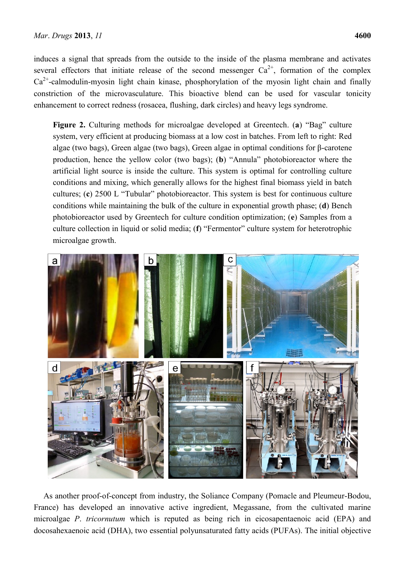induces a signal that spreads from the outside to the inside of the plasma membrane and activates several effectors that initiate release of the second messenger  $Ca^{2+}$ , formation of the complex  $Ca<sup>2+</sup>$ -calmodulin-myosin light chain kinase, phosphorylation of the myosin light chain and finally constriction of the microvasculature. This bioactive blend can be used for vascular tonicity enhancement to correct redness (rosacea, flushing, dark circles) and heavy legs syndrome.

**Figure 2.** Culturing methods for microalgae developed at Greentech. (**a**) "Bag" culture system, very efficient at producing biomass at a low cost in batches. From left to right: Red algae (two bags), Green algae (two bags), Green algae in optimal conditions for β-carotene production, hence the yellow color (two bags); (**b**) "Annula" photobioreactor where the artificial light source is inside the culture. This system is optimal for controlling culture conditions and mixing, which generally allows for the highest final biomass yield in batch cultures; (**c**) 2500 L "Tubular" photobioreactor. This system is best for continuous culture conditions while maintaining the bulk of the culture in exponential growth phase; (**d**) Bench photobioreactor used by Greentech for culture condition optimization; (**e**) Samples from a culture collection in liquid or solid media; (**f**) "Fermentor" culture system for heterotrophic microalgae growth.



As another proof-of-concept from industry, the Soliance Company (Pomacle and Pleumeur-Bodou, France) has developed an innovative active ingredient, Megassane, from the cultivated marine microalgae *P*. *tricornutum* which is reputed as being rich in eicosapentaenoic acid (EPA) and docosahexaenoic acid (DHA), two essential polyunsaturated fatty acids (PUFAs). The initial objective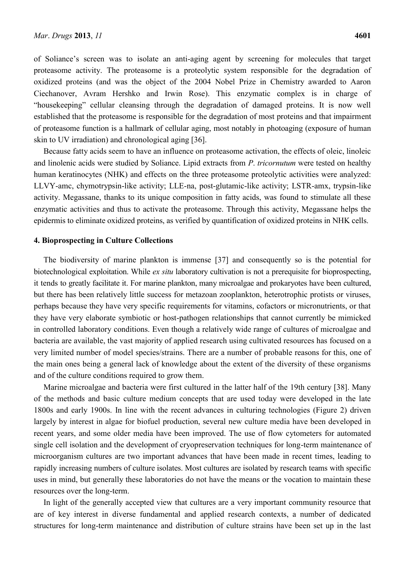of Soliance's screen was to isolate an anti-aging agent by screening for molecules that target proteasome activity. The proteasome is a proteolytic system responsible for the degradation of oxidized proteins (and was the object of the 2004 Nobel Prize in Chemistry awarded to Aaron Ciechanover, Avram Hershko and Irwin Rose). This enzymatic complex is in charge of "housekeeping" cellular cleansing through the degradation of damaged proteins. It is now well established that the proteasome is responsible for the degradation of most proteins and that impairment of proteasome function is a hallmark of cellular aging, most notably in photoaging (exposure of human skin to UV irradiation) and chronological aging [36].

Because fatty acids seem to have an influence on proteasome activation, the effects of oleic, linoleic and linolenic acids were studied by Soliance. Lipid extracts from *P*. *tricornutum* were tested on healthy human keratinocytes (NHK) and effects on the three proteasome proteolytic activities were analyzed: LLVY-amc, chymotrypsin-like activity; LLE-na, post-glutamic-like activity; LSTR-amx, trypsin-like activity. Megassane, thanks to its unique composition in fatty acids, was found to stimulate all these enzymatic activities and thus to activate the proteasome. Through this activity, Megassane helps the epidermis to eliminate oxidized proteins, as verified by quantification of oxidized proteins in NHK cells.

#### **4. Bioprospecting in Culture Collections**

The biodiversity of marine plankton is immense [37] and consequently so is the potential for biotechnological exploitation. While *ex situ* laboratory cultivation is not a prerequisite for bioprospecting, it tends to greatly facilitate it. For marine plankton, many microalgae and prokaryotes have been cultured, but there has been relatively little success for metazoan zooplankton, heterotrophic protists or viruses, perhaps because they have very specific requirements for vitamins, cofactors or micronutrients, or that they have very elaborate symbiotic or host-pathogen relationships that cannot currently be mimicked in controlled laboratory conditions. Even though a relatively wide range of cultures of microalgae and bacteria are available, the vast majority of applied research using cultivated resources has focused on a very limited number of model species/strains. There are a number of probable reasons for this, one of the main ones being a general lack of knowledge about the extent of the diversity of these organisms and of the culture conditions required to grow them.

Marine microalgae and bacteria were first cultured in the latter half of the 19th century [38]. Many of the methods and basic culture medium concepts that are used today were developed in the late 1800s and early 1900s. In line with the recent advances in culturing technologies (Figure 2) driven largely by interest in algae for biofuel production, several new culture media have been developed in recent years, and some older media have been improved. The use of flow cytometers for automated single cell isolation and the development of cryopreservation techniques for long-term maintenance of microorganism cultures are two important advances that have been made in recent times, leading to rapidly increasing numbers of culture isolates. Most cultures are isolated by research teams with specific uses in mind, but generally these laboratories do not have the means or the vocation to maintain these resources over the long-term.

In light of the generally accepted view that cultures are a very important community resource that are of key interest in diverse fundamental and applied research contexts, a number of dedicated structures for long-term maintenance and distribution of culture strains have been set up in the last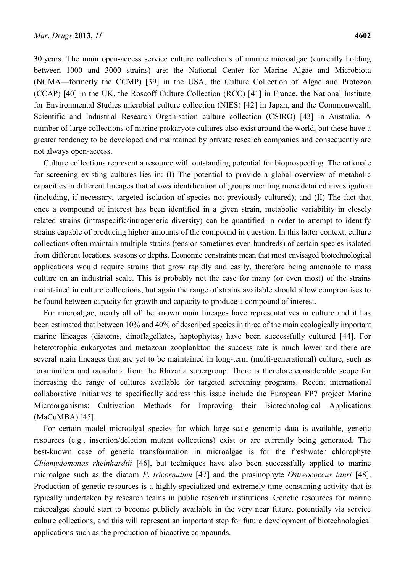30 years. The main open-access service culture collections of marine microalgae (currently holding between 1000 and 3000 strains) are: the National Center for Marine Algae and Microbiota (NCMA—formerly the CCMP) [39] in the USA, the Culture Collection of Algae and Protozoa (CCAP) [40] in the UK, the Roscoff Culture Collection (RCC) [41] in France, the National Institute for Environmental Studies microbial culture collection (NIES) [42] in Japan, and the Commonwealth Scientific and Industrial Research Organisation culture collection (CSIRO) [43] in Australia. A number of large collections of marine prokaryote cultures also exist around the world, but these have a greater tendency to be developed and maintained by private research companies and consequently are not always open-access.

Culture collections represent a resource with outstanding potential for bioprospecting. The rationale for screening existing cultures lies in: (I) The potential to provide a global overview of metabolic capacities in different lineages that allows identification of groups meriting more detailed investigation (including, if necessary, targeted isolation of species not previously cultured); and (II) The fact that once a compound of interest has been identified in a given strain, metabolic variability in closely related strains (intraspecific/intrageneric diversity) can be quantified in order to attempt to identify strains capable of producing higher amounts of the compound in question. In this latter context, culture collections often maintain multiple strains (tens or sometimes even hundreds) of certain species isolated from different locations, seasons or depths. Economic constraints mean that most envisaged biotechnological applications would require strains that grow rapidly and easily, therefore being amenable to mass culture on an industrial scale. This is probably not the case for many (or even most) of the strains maintained in culture collections, but again the range of strains available should allow compromises to be found between capacity for growth and capacity to produce a compound of interest.

For microalgae, nearly all of the known main lineages have representatives in culture and it has been estimated that between 10% and 40% of described species in three of the main ecologically important marine lineages (diatoms, dinoflagellates, haptophytes) have been successfully cultured [44]. For heterotrophic eukaryotes and metazoan zooplankton the success rate is much lower and there are several main lineages that are yet to be maintained in long-term (multi-generational) culture, such as foraminifera and radiolaria from the Rhizaria supergroup. There is therefore considerable scope for increasing the range of cultures available for targeted screening programs. Recent international collaborative initiatives to specifically address this issue include the European FP7 project Marine Microorganisms: Cultivation Methods for Improving their Biotechnological Applications (MaCuMBA) [45].

For certain model microalgal species for which large-scale genomic data is available, genetic resources (e.g., insertion/deletion mutant collections) exist or are currently being generated. The best-known case of genetic transformation in microalgae is for the freshwater chlorophyte *Chlamydomonas rheinhardtii* [46], but techniques have also been successfully applied to marine microalgae such as the diatom *P*. *tricornutum* [47] and the prasinophyte *Ostreococcus tauri* [48]. Production of genetic resources is a highly specialized and extremely time-consuming activity that is typically undertaken by research teams in public research institutions. Genetic resources for marine microalgae should start to become publicly available in the very near future, potentially via service culture collections, and this will represent an important step for future development of biotechnological applications such as the production of bioactive compounds.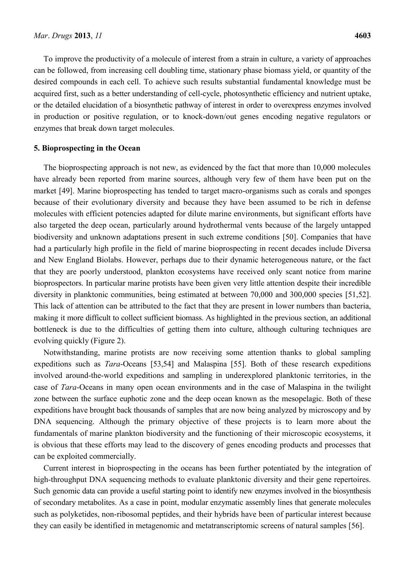To improve the productivity of a molecule of interest from a strain in culture, a variety of approaches can be followed, from increasing cell doubling time, stationary phase biomass yield, or quantity of the desired compounds in each cell. To achieve such results substantial fundamental knowledge must be acquired first, such as a better understanding of cell-cycle, photosynthetic efficiency and nutrient uptake, or the detailed elucidation of a biosynthetic pathway of interest in order to overexpress enzymes involved in production or positive regulation, or to knock-down/out genes encoding negative regulators or enzymes that break down target molecules.

## **5. Bioprospecting in the Ocean**

The bioprospecting approach is not new, as evidenced by the fact that more than 10,000 molecules have already been reported from marine sources, although very few of them have been put on the market [49]. Marine bioprospecting has tended to target macro-organisms such as corals and sponges because of their evolutionary diversity and because they have been assumed to be rich in defense molecules with efficient potencies adapted for dilute marine environments, but significant efforts have also targeted the deep ocean, particularly around hydrothermal vents because of the largely untapped biodiversity and unknown adaptations present in such extreme conditions [50]. Companies that have had a particularly high profile in the field of marine bioprospecting in recent decades include Diversa and New England Biolabs. However, perhaps due to their dynamic heterogeneous nature, or the fact that they are poorly understood, plankton ecosystems have received only scant notice from marine bioprospectors. In particular marine protists have been given very little attention despite their incredible diversity in planktonic communities, being estimated at between 70,000 and 300,000 species [51,52]. This lack of attention can be attributed to the fact that they are present in lower numbers than bacteria, making it more difficult to collect sufficient biomass. As highlighted in the previous section, an additional bottleneck is due to the difficulties of getting them into culture, although culturing techniques are evolving quickly (Figure 2).

Notwithstanding, marine protists are now receiving some attention thanks to global sampling expeditions such as *Tara*-Oceans [53,54] and Malaspina [55]. Both of these research expeditions involved around-the-world expeditions and sampling in underexplored planktonic territories, in the case of *Tara*-Oceans in many open ocean environments and in the case of Malaspina in the twilight zone between the surface euphotic zone and the deep ocean known as the mesopelagic. Both of these expeditions have brought back thousands of samples that are now being analyzed by microscopy and by DNA sequencing. Although the primary objective of these projects is to learn more about the fundamentals of marine plankton biodiversity and the functioning of their microscopic ecosystems, it is obvious that these efforts may lead to the discovery of genes encoding products and processes that can be exploited commercially.

Current interest in bioprospecting in the oceans has been further potentiated by the integration of high-throughput DNA sequencing methods to evaluate planktonic diversity and their gene repertoires. Such genomic data can provide a useful starting point to identify new enzymes involved in the biosynthesis of secondary metabolites. As a case in point, modular enzymatic assembly lines that generate molecules such as polyketides, non-ribosomal peptides, and their hybrids have been of particular interest because they can easily be identified in metagenomic and metatranscriptomic screens of natural samples [56].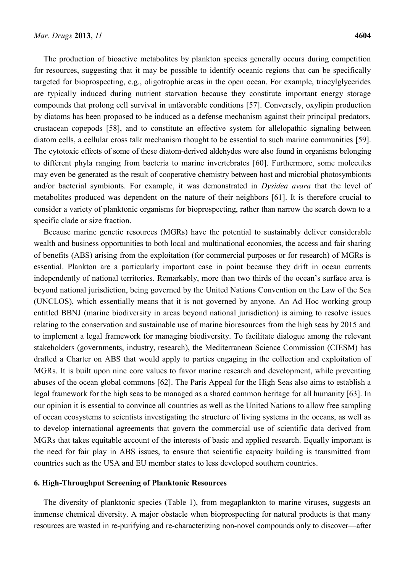The production of bioactive metabolites by plankton species generally occurs during competition for resources, suggesting that it may be possible to identify oceanic regions that can be specifically targeted for bioprospecting, e.g., oligotrophic areas in the open ocean. For example, triacylglycerides are typically induced during nutrient starvation because they constitute important energy storage compounds that prolong cell survival in unfavorable conditions [57]. Conversely, oxylipin production by diatoms has been proposed to be induced as a defense mechanism against their principal predators, crustacean copepods [58], and to constitute an effective system for allelopathic signaling between diatom cells, a cellular cross talk mechanism thought to be essential to such marine communities [59]. The cytotoxic effects of some of these diatom-derived aldehydes were also found in organisms belonging to different phyla ranging from bacteria to marine invertebrates [60]. Furthermore, some molecules may even be generated as the result of cooperative chemistry between host and microbial photosymbionts and/or bacterial symbionts. For example, it was demonstrated in *Dysidea avara* that the level of metabolites produced was dependent on the nature of their neighbors [61]. It is therefore crucial to consider a variety of planktonic organisms for bioprospecting, rather than narrow the search down to a specific clade or size fraction.

Because marine genetic resources (MGRs) have the potential to sustainably deliver considerable wealth and business opportunities to both local and multinational economies, the access and fair sharing of benefits (ABS) arising from the exploitation (for commercial purposes or for research) of MGRs is essential. Plankton are a particularly important case in point because they drift in ocean currents independently of national territories. Remarkably, more than two thirds of the ocean's surface area is beyond national jurisdiction, being governed by the United Nations Convention on the Law of the Sea (UNCLOS), which essentially means that it is not governed by anyone. An Ad Hoc working group entitled BBNJ (marine biodiversity in areas beyond national jurisdiction) is aiming to resolve issues relating to the conservation and sustainable use of marine bioresources from the high seas by 2015 and to implement a legal framework for managing biodiversity. To facilitate dialogue among the relevant stakeholders (governments, industry, research), the Mediterranean Science Commission (CIESM) has drafted a Charter on ABS that would apply to parties engaging in the collection and exploitation of MGRs. It is built upon nine core values to favor marine research and development, while preventing abuses of the ocean global commons [62]. The Paris Appeal for the High Seas also aims to establish a legal framework for the high seas to be managed as a shared common heritage for all humanity [63]. In our opinion it is essential to convince all countries as well as the United Nations to allow free sampling of ocean ecosystems to scientists investigating the structure of living systems in the oceans, as well as to develop international agreements that govern the commercial use of scientific data derived from MGRs that takes equitable account of the interests of basic and applied research. Equally important is the need for fair play in ABS issues, to ensure that scientific capacity building is transmitted from countries such as the USA and EU member states to less developed southern countries.

#### **6. High-Throughput Screening of Planktonic Resources**

The diversity of planktonic species (Table 1), from megaplankton to marine viruses, suggests an immense chemical diversity. A major obstacle when bioprospecting for natural products is that many resources are wasted in re-purifying and re-characterizing non-novel compounds only to discover—after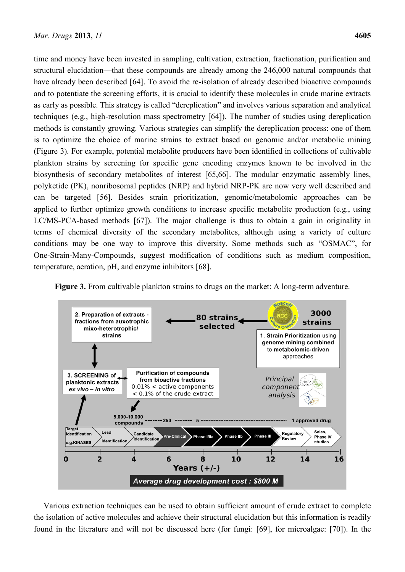time and money have been invested in sampling, cultivation, extraction, fractionation, purification and structural elucidation—that these compounds are already among the 246,000 natural compounds that have already been described [64]. To avoid the re-isolation of already described bioactive compounds and to potentiate the screening efforts, it is crucial to identify these molecules in crude marine extracts as early as possible. This strategy is called "dereplication" and involves various separation and analytical techniques (e.g., high-resolution mass spectrometry [64]). The number of studies using dereplication methods is constantly growing. Various strategies can simplify the dereplication process: one of them is to optimize the choice of marine strains to extract based on genomic and/or metabolic mining (Figure 3). For example, potential metabolite producers have been identified in collections of cultivable plankton strains by screening for specific gene encoding enzymes known to be involved in the biosynthesis of secondary metabolites of interest [65,66]. The modular enzymatic assembly lines, polyketide (PK), nonribosomal peptides (NRP) and hybrid NRP-PK are now very well described and can be targeted [56]. Besides strain prioritization, genomic/metabolomic approaches can be applied to further optimize growth conditions to increase specific metabolite production (e.g., using LC/MS-PCA-based methods [67]). The major challenge is thus to obtain a gain in originality in terms of chemical diversity of the secondary metabolites, although using a variety of culture conditions may be one way to improve this diversity. Some methods such as "OSMAC", for One-Strain-Many-Compounds, suggest modification of conditions such as medium composition, temperature, aeration, pH, and enzyme inhibitors [68].

**Figure 3.** From cultivable plankton strains to drugs on the market: A long-term adventure.



Various extraction techniques can be used to obtain sufficient amount of crude extract to complete the isolation of active molecules and achieve their structural elucidation but this information is readily found in the literature and will not be discussed here (for fungi: [69], for microalgae: [70]). In the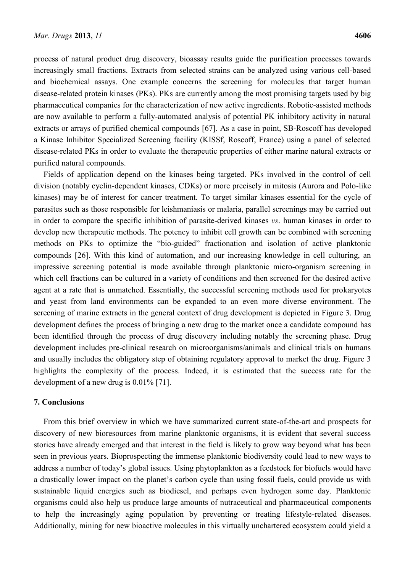process of natural product drug discovery, bioassay results guide the purification processes towards increasingly small fractions. Extracts from selected strains can be analyzed using various cell-based and biochemical assays. One example concerns the screening for molecules that target human disease-related protein kinases (PKs). PKs are currently among the most promising targets used by big pharmaceutical companies for the characterization of new active ingredients. Robotic-assisted methods are now available to perform a fully-automated analysis of potential PK inhibitory activity in natural extracts or arrays of purified chemical compounds [67]. As a case in point, SB-Roscoff has developed a Kinase Inhibitor Specialized Screening facility (KISSf, Roscoff, France) using a panel of selected disease-related PKs in order to evaluate the therapeutic properties of either marine natural extracts or purified natural compounds.

Fields of application depend on the kinases being targeted. PKs involved in the control of cell division (notably cyclin-dependent kinases, CDKs) or more precisely in mitosis (Aurora and Polo-like kinases) may be of interest for cancer treatment. To target similar kinases essential for the cycle of parasites such as those responsible for leishmaniasis or malaria, parallel screenings may be carried out in order to compare the specific inhibition of parasite-derived kinases *vs*. human kinases in order to develop new therapeutic methods. The potency to inhibit cell growth can be combined with screening methods on PKs to optimize the "bio-guided" fractionation and isolation of active planktonic compounds [26]. With this kind of automation, and our increasing knowledge in cell culturing, an impressive screening potential is made available through planktonic micro-organism screening in which cell fractions can be cultured in a variety of conditions and then screened for the desired active agent at a rate that is unmatched. Essentially, the successful screening methods used for prokaryotes and yeast from land environments can be expanded to an even more diverse environment. The screening of marine extracts in the general context of drug development is depicted in Figure 3. Drug development defines the process of bringing a new drug to the market once a candidate compound has been identified through the process of drug discovery including notably the screening phase. Drug development includes pre-clinical research on microorganisms/animals and clinical trials on humans and usually includes the obligatory step of obtaining regulatory approval to market the drug. Figure 3 highlights the complexity of the process. Indeed, it is estimated that the success rate for the development of a new drug is 0.01% [71].

#### **7. Conclusions**

From this brief overview in which we have summarized current state-of-the-art and prospects for discovery of new bioresources from marine planktonic organisms, it is evident that several success stories have already emerged and that interest in the field is likely to grow way beyond what has been seen in previous years. Bioprospecting the immense planktonic biodiversity could lead to new ways to address a number of today's global issues. Using phytoplankton as a feedstock for biofuels would have a drastically lower impact on the planet's carbon cycle than using fossil fuels, could provide us with sustainable liquid energies such as biodiesel, and perhaps even hydrogen some day. Planktonic organisms could also help us produce large amounts of nutraceutical and pharmaceutical components to help the increasingly aging population by preventing or treating lifestyle-related diseases. Additionally, mining for new bioactive molecules in this virtually unchartered ecosystem could yield a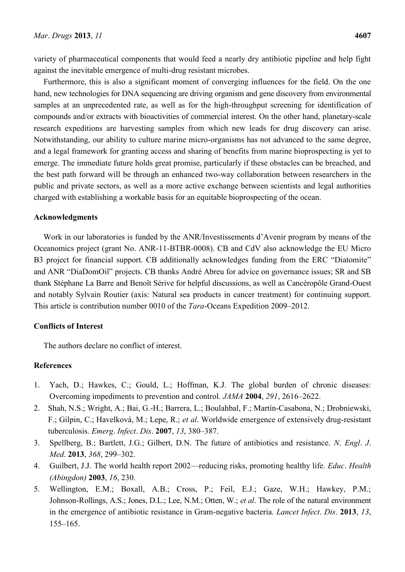variety of pharmaceutical components that would feed a nearly dry antibiotic pipeline and help fight against the inevitable emergence of multi-drug resistant microbes.

Furthermore, this is also a significant moment of converging influences for the field. On the one hand, new technologies for DNA sequencing are driving organism and gene discovery from environmental samples at an unprecedented rate, as well as for the high-throughput screening for identification of compounds and/or extracts with bioactivities of commercial interest. On the other hand, planetary-scale research expeditions are harvesting samples from which new leads for drug discovery can arise. Notwithstanding, our ability to culture marine micro-organisms has not advanced to the same degree, and a legal framework for granting access and sharing of benefits from marine bioprospecting is yet to emerge. The immediate future holds great promise, particularly if these obstacles can be breached, and the best path forward will be through an enhanced two-way collaboration between researchers in the public and private sectors, as well as a more active exchange between scientists and legal authorities charged with establishing a workable basis for an equitable bioprospecting of the ocean.

## **Acknowledgments**

Work in our laboratories is funded by the ANR/Investissements d'Avenir program by means of the Oceanomics project (grant No. ANR-11-BTBR-0008). CB and CdV also acknowledge the EU Micro B3 project for financial support. CB additionally acknowledges funding from the ERC "Diatomite" and ANR "DiaDomOil" projects. CB thanks André Abreu for advice on governance issues; SR and SB thank Stéphane La Barre and Benoît Sérive for helpful discussions, as well as Cancéropôle Grand-Ouest and notably Sylvain Routier (axis: Natural sea products in cancer treatment) for continuing support. This article is contribution number 0010 of the *Tara*-Oceans Expedition 2009–2012.

## **Conflicts of Interest**

The authors declare no conflict of interest.

# **References**

- 1. Yach, D.; Hawkes, C.; Gould, L.; Hoffman, K.J. The global burden of chronic diseases: Overcoming impediments to prevention and control. *JAMA* **2004**, *291*, 2616–2622.
- 2. Shah, N.S.; Wright, A.; Bai, G.-H.; Barrera, L.; Boulahbal, F.; Martín-Casabona, N.; Drobniewski, F.; Gilpin, C.; Havelková, M.; Lepe, R.; *et al*. Worldwide emergence of extensively drug-resistant tuberculosis. *Emerg*. *Infect*. *Dis*. **2007**, *13*, 380–387.
- 3. Spellberg, B.; Bartlett, J.G.; Gilbert, D.N. The future of antibiotics and resistance. *N*. *Engl*. *J*. *Med*. **2013**, *368*, 299–302.
- 4. Guilbert, J.J. The world health report 2002—reducing risks, promoting healthy life. *Educ*. *Health (Abingdon)* **2003**, *16*, 230.
- 5. Wellington, E.M.; Boxall, A.B.; Cross, P.; Feil, E.J.; Gaze, W.H.; Hawkey, P.M.; Johnson-Rollings, A.S.; Jones, D.L.; Lee, N.M.; Otten, W.; *et al*. The role of the natural environment in the emergence of antibiotic resistance in Gram-negative bacteria. *Lancet Infect*. *Dis*. **2013**, *13*, 155–165.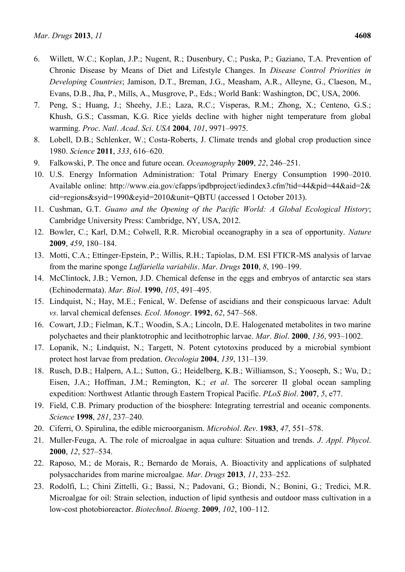- 6. Willett, W.C.; Koplan, J.P.; Nugent, R.; Dusenbury, C.; Puska, P.; Gaziano, T.A. Prevention of Chronic Disease by Means of Diet and Lifestyle Changes. In *Disease Control Priorities in Developing Countries*; Jamison, D.T., Breman, J.G., Measham, A.R., Alleyne, G., Claeson, M., Evans, D.B., Jha, P., Mills, A., Musgrove, P., Eds.; World Bank: Washington, DC, USA, 2006.
- 7. Peng, S.; Huang, J.; Sheehy, J.E.; Laza, R.C.; Visperas, R.M.; Zhong, X.; Centeno, G.S.; Khush, G.S.; Cassman, K.G. Rice yields decline with higher night temperature from global warming. *Proc*. *Natl*. *Acad*. *Sci*. *USA* **2004**, *101*, 9971–9975.
- 8. Lobell, D.B.; Schlenker, W.; Costa-Roberts, J. Climate trends and global crop production since 1980. *Science* **2011**, *333*, 616–620.
- 9. Falkowski, P. The once and future ocean. *Oceanography* **2009**, *22*, 246–251.
- 10. U.S. Energy Information Administration: Total Primary Energy Consumption 1990–2010. Available online: http://www.eia.gov/cfapps/ipdbproject/iedindex3.cfm?tid=44&pid=44&aid=2& cid=regions&syid=1990&eyid=2010&unit=QBTU (accessed 1 October 2013).
- 11. Cushman, G.T. *Guano and the Opening of the Pacific World: A Global Ecological History*; Cambridge University Press: Cambridge, NY, USA, 2012.
- 12. Bowler, C.; Karl, D.M.; Colwell, R.R. Microbial oceanography in a sea of opportunity. *Nature* **2009**, *459*, 180–184.
- 13. Motti, C.A.; Ettinger-Epstein, P.; Willis, R.H.; Tapiolas, D.M. ESI FTICR-MS analysis of larvae from the marine sponge *Luffariella variabilis*. *Mar*. *Drugs* **2010**, *8*, 190–199.
- 14. McClintock, J.B.; Vernon, J.D. Chemical defense in the eggs and embryos of antarctic sea stars (Echinodermata). *Mar*. *Biol*. **1990**, *105*, 491–495.
- 15. Lindquist, N.; Hay, M.E.; Fenical, W. Defense of ascidians and their conspicuous larvae: Adult *vs*. larval chemical defenses. *Ecol*. *Monogr*. **1992**, *62*, 547–568.
- 16. Cowart, J.D.; Fielman, K.T.; Woodin, S.A.; Lincoln, D.E. Halogenated metabolites in two marine polychaetes and their planktotrophic and lecithotrophic larvae. *Mar*. *Biol*. **2000**, *136*, 993–1002.
- 17. Lopanik, N.; Lindquist, N.; Targett, N. Potent cytotoxins produced by a microbial symbiont protect host larvae from predation. *Oecologia* **2004**, *139*, 131–139.
- 18. Rusch, D.B.; Halpern, A.L.; Sutton, G.; Heidelberg, K.B.; Williamson, S.; Yooseph, S.; Wu, D.; Eisen, J.A.; Hoffman, J.M.; Remington, K.; *et al*. The sorcerer II global ocean sampling expedition: Northwest Atlantic through Eastern Tropical Pacific. *PLoS Biol*. **2007**, *5*, e77.
- 19. Field, C.B. Primary production of the biosphere: Integrating terrestrial and oceanic components. *Science* **1998**, *281*, 237–240.
- 20. Ciferri, O. Spirulina, the edible microorganism. *Microbiol*. *Rev*. **1983**, *47*, 551–578.
- 21. Muller-Feuga, A. The role of microalgae in aqua culture: Situation and trends. *J*. *Appl*. *Phycol*. **2000**, *12*, 527–534.
- 22. Raposo, M.; de Morais, R.; Bernardo de Morais, A. Bioactivity and applications of sulphated polysaccharides from marine microalgae. *Mar*. *Drugs* **2013**, *11*, 233–252.
- 23. Rodolfi, L.; Chini Zittelli, G.; Bassi, N.; Padovani, G.; Biondi, N.; Bonini, G.; Tredici, M.R. Microalgae for oil: Strain selection, induction of lipid synthesis and outdoor mass cultivation in a low-cost photobioreactor. *Biotechnol*. *Bioeng*. **2009**, *102*, 100–112.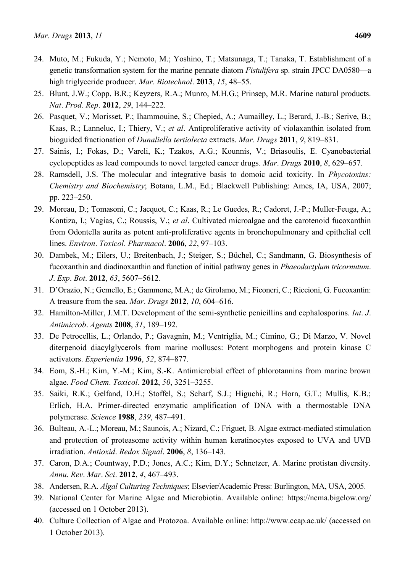- 24. Muto, M.; Fukuda, Y.; Nemoto, M.; Yoshino, T.; Matsunaga, T.; Tanaka, T. Establishment of a genetic transformation system for the marine pennate diatom *Fistulifera* sp. strain JPCC DA0580—a high triglyceride producer. *Mar*. *Biotechnol*. **2013**, *15*, 48–55.
- 25. Blunt, J.W.; Copp, B.R.; Keyzers, R.A.; Munro, M.H.G.; Prinsep, M.R. Marine natural products. *Nat*. *Prod*. *Rep*. **2012**, *29*, 144–222.
- 26. Pasquet, V.; Morisset, P.; Ihammouine, S.; Chepied, A.; Aumailley, L.; Berard, J.-B.; Serive, B.; Kaas, R.; Lanneluc, I.; Thiery, V.; *et al*. Antiproliferative activity of violaxanthin isolated from bioguided fractionation of *Dunaliella tertiolecta* extracts. *Mar*. *Drugs* **2011**, *9*, 819–831.
- 27. Sainis, I.; Fokas, D.; Vareli, K.; Tzakos, A.G.; Kounnis, V.; Briasoulis, E. Cyanobacterial cyclopeptides as lead compounds to novel targeted cancer drugs. *Mar*. *Drugs* **2010**, *8*, 629–657.
- 28. Ramsdell, J.S. The molecular and integrative basis to domoic acid toxicity. In *Phycotoxins: Chemistry and Biochemistry*; Botana, L.M., Ed.; Blackwell Publishing: Ames, IA, USA, 2007; pp. 223–250.
- 29. Moreau, D.; Tomasoni, C.; Jacquot, C.; Kaas, R.; Le Guedes, R.; Cadoret, J.-P.; Muller-Feuga, A.; Kontiza, I.; Vagias, C.; Roussis, V.; *et al*. Cultivated microalgae and the carotenoid fucoxanthin from Odontella aurita as potent anti-proliferative agents in bronchopulmonary and epithelial cell lines. *Environ*. *Toxicol*. *Pharmacol*. **2006**, *22*, 97–103.
- 30. Dambek, M.; Eilers, U.; Breitenbach, J.; Steiger, S.; Büchel, C.; Sandmann, G. Biosynthesis of fucoxanthin and diadinoxanthin and function of initial pathway genes in *Phaeodactylum tricornutum*. *J*. *Exp*. *Bot*. **2012**, *63*, 5607–5612.
- 31. D'Orazio, N.; Gemello, E.; Gammone, M.A.; de Girolamo, M.; Ficoneri, C.; Riccioni, G. Fucoxantin: A treasure from the sea. *Mar*. *Drugs* **2012**, *10*, 604–616.
- 32. Hamilton-Miller, J.M.T. Development of the semi-synthetic penicillins and cephalosporins. *Int*. *J*. *Antimicrob*. *Agents* **2008**, *31*, 189–192.
- 33. De Petrocellis, L.; Orlando, P.; Gavagnin, M.; Ventriglia, M.; Cimino, G.; Di Marzo, V. Novel diterpenoid diacylglycerols from marine molluscs: Potent morphogens and protein kinase C activators. *Experientia* **1996**, *52*, 874–877.
- 34. Eom, S.-H.; Kim, Y.-M.; Kim, S.-K. Antimicrobial effect of phlorotannins from marine brown algae. *Food Chem*. *Toxicol*. **2012**, *50*, 3251–3255.
- 35. Saiki, R.K.; Gelfand, D.H.; Stoffel, S.; Scharf, S.J.; Higuchi, R.; Horn, G.T.; Mullis, K.B.; Erlich, H.A. Primer-directed enzymatic amplification of DNA with a thermostable DNA polymerase. *Science* **1988**, *239*, 487–491.
- 36. Bulteau, A.-L.; Moreau, M.; Saunois, A.; Nizard, C.; Friguet, B. Algae extract-mediated stimulation and protection of proteasome activity within human keratinocytes exposed to UVA and UVB irradiation. *Antioxid*. *Redox Signal*. **2006**, *8*, 136–143.
- 37. Caron, D.A.; Countway, P.D.; Jones, A.C.; Kim, D.Y.; Schnetzer, A. Marine protistan diversity. *Annu*. *Rev*. *Mar*. *Sci*. **2012**, *4*, 467–493.
- 38. Andersen, R.A. *Algal Culturing Techniques*; Elsevier/Academic Press: Burlington, MA, USA, 2005.
- 39. National Center for Marine Algae and Microbiotia. Available online: https://ncma.bigelow.org/ (accessed on 1 October 2013).
- 40. Culture Collection of Algae and Protozoa. Available online: http://www.ccap.ac.uk/ (accessed on 1 October 2013).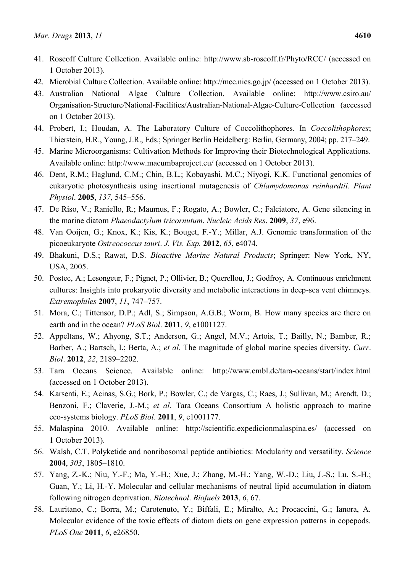- 41. Roscoff Culture Collection. Available online: http://www.sb-roscoff.fr/Phyto/RCC/ (accessed on 1 October 2013).
- 42. Microbial Culture Collection. Available online: http://mcc.nies.go.jp/ (accessed on 1 October 2013).
- 43. Australian National Algae Culture Collection. Available online: http://www.csiro.au/ Organisation-Structure/National-Facilities/Australian-National-Algae-Culture-Collection (accessed on 1 October 2013).
- 44. Probert, I.; Houdan, A. The Laboratory Culture of Coccolithophores. In *Coccolithophores*; Thierstein, H.R., Young, J.R., Eds.; Springer Berlin Heidelberg: Berlin, Germany, 2004; pp. 217–249.
- 45. Marine Microorganisms: Cultivation Methods for Improving their Biotechnological Applications. Available online: http://www.macumbaproject.eu/ (accessed on 1 October 2013).
- 46. Dent, R.M.; Haglund, C.M.; Chin, B.L.; Kobayashi, M.C.; Niyogi, K.K. Functional genomics of eukaryotic photosynthesis using insertional mutagenesis of *Chlamydomonas reinhardtii*. *Plant Physiol*. **2005**, *137*, 545–556.
- 47. De Riso, V.; Raniello, R.; Maumus, F.; Rogato, A.; Bowler, C.; Falciatore, A. Gene silencing in the marine diatom *Phaeodactylum tricornutum*. *Nucleic Acids Res*. **2009**, *37*, e96.
- 48. Van Ooijen, G.; Knox, K.; Kis, K.; Bouget, F.-Y.; Millar, A.J. Genomic transformation of the picoeukaryote *Ostreococcus tauri*. *J. Vis. Exp.* **2012**, *65*, e4074.
- 49. Bhakuni, D.S.; Rawat, D.S. *Bioactive Marine Natural Products*; Springer: New York, NY, USA, 2005.
- 50. Postec, A.; Lesongeur, F.; Pignet, P.; Ollivier, B.; Querellou, J.; Godfroy, A. Continuous enrichment cultures: Insights into prokaryotic diversity and metabolic interactions in deep-sea vent chimneys. *Extremophiles* **2007**, *11*, 747–757.
- 51. Mora, C.; Tittensor, D.P.; Adl, S.; Simpson, A.G.B.; Worm, B. How many species are there on earth and in the ocean? *PLoS Biol*. **2011**, *9*, e1001127.
- 52. Appeltans, W.; Ahyong, S.T.; Anderson, G.; Angel, M.V.; Artois, T.; Bailly, N.; Bamber, R.; Barber, A.; Bartsch, I.; Berta, A.; *et al*. The magnitude of global marine species diversity. *Curr*. *Biol*. **2012**, *22*, 2189–2202.
- 53. Tara Oceans Science. Available online: http://www.embl.de/tara-oceans/start/index.html (accessed on 1 October 2013).
- 54. Karsenti, E.; Acinas, S.G.; Bork, P.; Bowler, C.; de Vargas, C.; Raes, J.; Sullivan, M.; Arendt, D.; Benzoni, F.; Claverie, J.-M.; *et al*. Tara Oceans Consortium A holistic approach to marine eco-systems biology. *PLoS Biol*. **2011**, *9*, e1001177.
- 55. Malaspina 2010. Available online: http://scientific.expedicionmalaspina.es/ (accessed on 1 October 2013).
- 56. Walsh, C.T. Polyketide and nonribosomal peptide antibiotics: Modularity and versatility. *Science* **2004**, *303*, 1805–1810.
- 57. Yang, Z.-K.; Niu, Y.-F.; Ma, Y.-H.; Xue, J.; Zhang, M.-H.; Yang, W.-D.; Liu, J.-S.; Lu, S.-H.; Guan, Y.; Li, H.-Y. Molecular and cellular mechanisms of neutral lipid accumulation in diatom following nitrogen deprivation. *Biotechnol*. *Biofuels* **2013**, *6*, 67.
- 58. Lauritano, C.; Borra, M.; Carotenuto, Y.; Biffali, E.; Miralto, A.; Procaccini, G.; Ianora, A. Molecular evidence of the toxic effects of diatom diets on gene expression patterns in copepods. *PLoS One* **2011**, *6*, e26850.